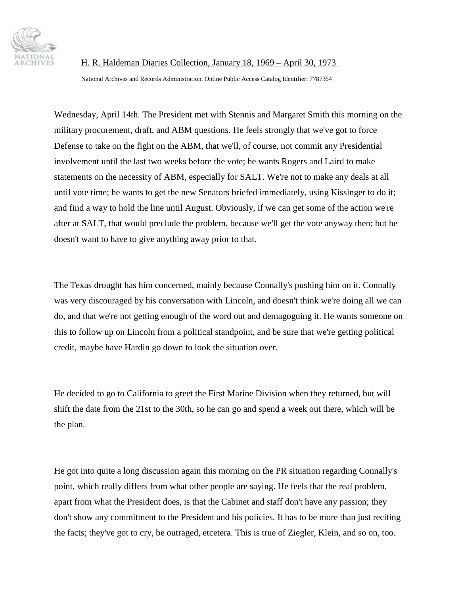

National Archives and Records Administration, Online Public Access Catalog Identifier: 7787364

Wednesday, April 14th. The President met with Stennis and Margaret Smith this morning on the military procurement, draft, and ABM questions. He feels strongly that we've got to force Defense to take on the fight on the ABM, that we'll, of course, not commit any Presidential involvement until the last two weeks before the vote; he wants Rogers and Laird to make statements on the necessity of ABM, especially for SALT. We're not to make any deals at all until vote time; he wants to get the new Senators briefed immediately, using Kissinger to do it; and find a way to hold the line until August. Obviously, if we can get some of the action we're after at SALT, that would preclude the problem, because we'll get the vote anyway then; but he doesn't want to have to give anything away prior to that.

The Texas drought has him concerned, mainly because Connally's pushing him on it. Connally was very discouraged by his conversation with Lincoln, and doesn't think we're doing all we can do, and that we're not getting enough of the word out and demagoguing it. He wants someone on this to follow up on Lincoln from a political standpoint, and be sure that we're getting political credit, maybe have Hardin go down to look the situation over.

He decided to go to California to greet the First Marine Division when they returned, but will shift the date from the 21st to the 30th, so he can go and spend a week out there, which will be the plan.

He got into quite a long discussion again this morning on the PR situation regarding Connally's point, which really differs from what other people are saying. He feels that the real problem, apart from what the President does, is that the Cabinet and staff don't have any passion; they don't show any commitment to the President and his policies. It has to be more than just reciting the facts; they've got to cry, be outraged, etcetera. This is true of Ziegler, Klein, and so on, too.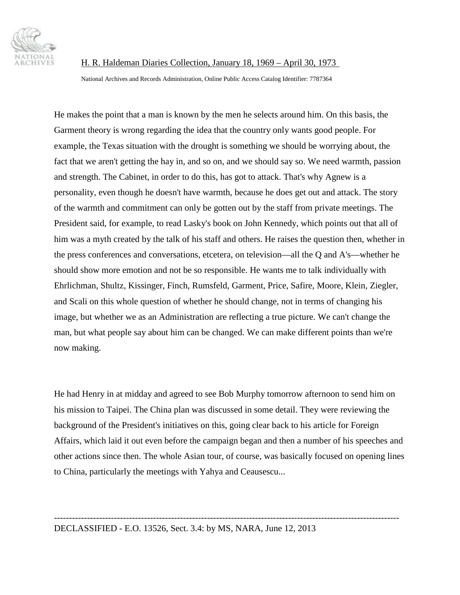

National Archives and Records Administration, Online Public Access Catalog Identifier: 7787364

He makes the point that a man is known by the men he selects around him. On this basis, the Garment theory is wrong regarding the idea that the country only wants good people. For example, the Texas situation with the drought is something we should be worrying about, the fact that we aren't getting the hay in, and so on, and we should say so. We need warmth, passion and strength. The Cabinet, in order to do this, has got to attack. That's why Agnew is a personality, even though he doesn't have warmth, because he does get out and attack. The story of the warmth and commitment can only be gotten out by the staff from private meetings. The President said, for example, to read Lasky's book on John Kennedy, which points out that all of him was a myth created by the talk of his staff and others. He raises the question then, whether in the press conferences and conversations, etcetera, on television—all the Q and A's—whether he should show more emotion and not be so responsible. He wants me to talk individually with Ehrlichman, Shultz, Kissinger, Finch, Rumsfeld, Garment, Price, Safire, Moore, Klein, Ziegler, and Scali on this whole question of whether he should change, not in terms of changing his image, but whether we as an Administration are reflecting a true picture. We can't change the man, but what people say about him can be changed. We can make different points than we're now making.

He had Henry in at midday and agreed to see Bob Murphy tomorrow afternoon to send him on his mission to Taipei. The China plan was discussed in some detail. They were reviewing the background of the President's initiatives on this, going clear back to his article for Foreign Affairs, which laid it out even before the campaign began and then a number of his speeches and other actions since then. The whole Asian tour, of course, was basically focused on opening lines to China, particularly the meetings with Yahya and Ceausescu...

-------------------------------------------------------------------------------------------------------------------

DECLASSIFIED - E.O. 13526, Sect. 3.4: by MS, NARA, June 12, 2013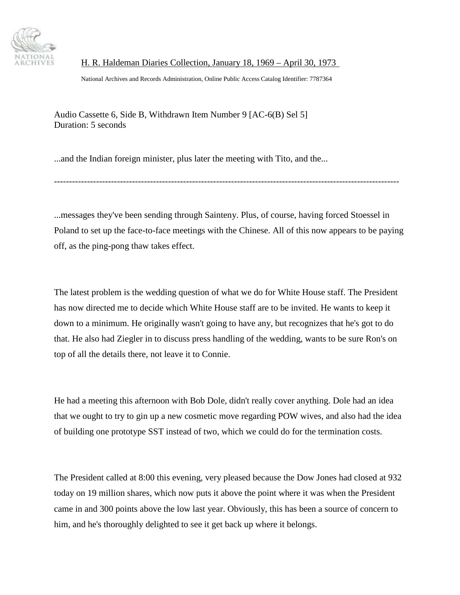

National Archives and Records Administration, Online Public Access Catalog Identifier: 7787364

Audio Cassette 6, Side B, Withdrawn Item Number 9 [AC-6(B) Sel 5] Duration: 5 seconds

...and the Indian foreign minister, plus later the meeting with Tito, and the...

...messages they've been sending through Sainteny. Plus, of course, having forced Stoessel in Poland to set up the face-to-face meetings with the Chinese. All of this now appears to be paying off, as the ping-pong thaw takes effect.

-------------------------------------------------------------------------------------------------------------------

The latest problem is the wedding question of what we do for White House staff. The President has now directed me to decide which White House staff are to be invited. He wants to keep it down to a minimum. He originally wasn't going to have any, but recognizes that he's got to do that. He also had Ziegler in to discuss press handling of the wedding, wants to be sure Ron's on top of all the details there, not leave it to Connie.

He had a meeting this afternoon with Bob Dole, didn't really cover anything. Dole had an idea that we ought to try to gin up a new cosmetic move regarding POW wives, and also had the idea of building one prototype SST instead of two, which we could do for the termination costs.

The President called at 8:00 this evening, very pleased because the Dow Jones had closed at 932 today on 19 million shares, which now puts it above the point where it was when the President came in and 300 points above the low last year. Obviously, this has been a source of concern to him, and he's thoroughly delighted to see it get back up where it belongs.